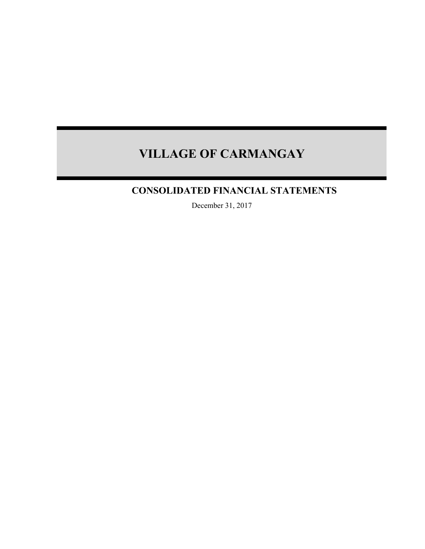## **CONSOLIDATED FINANCIAL STATEMENTS**

December 31, 2017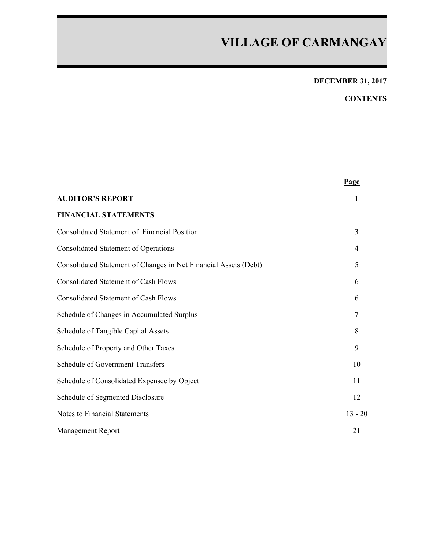## **DECEMBER 31, 2017**

## **CONTENTS**

|                                                                  | Page      |
|------------------------------------------------------------------|-----------|
| <b>AUDITOR'S REPORT</b>                                          | 1         |
| <b>FINANCIAL STATEMENTS</b>                                      |           |
| <b>Consolidated Statement of Financial Position</b>              | 3         |
| <b>Consolidated Statement of Operations</b>                      | 4         |
| Consolidated Statement of Changes in Net Financial Assets (Debt) | 5         |
| <b>Consolidated Statement of Cash Flows</b>                      | 6         |
| <b>Consolidated Statement of Cash Flows</b>                      | 6         |
| Schedule of Changes in Accumulated Surplus                       | 7         |
| Schedule of Tangible Capital Assets                              | 8         |
| Schedule of Property and Other Taxes                             | 9         |
| <b>Schedule of Government Transfers</b>                          | 10        |
| Schedule of Consolidated Expensee by Object                      | 11        |
| Schedule of Segmented Disclosure                                 | 12        |
| <b>Notes to Financial Statements</b>                             | $13 - 20$ |
| <b>Management Report</b>                                         | 21        |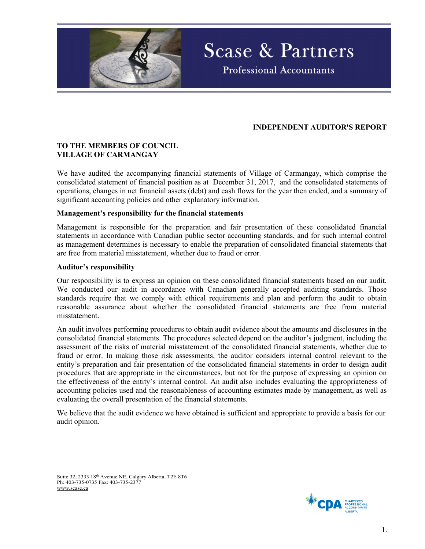

### **INDEPENDENT AUDITOR'S REPORT**

**Scase & Partners** 

**Professional Accountants** 

#### **TO THE MEMBERS OF COUNCIL VILLAGE OF CARMANGAY**

We have audited the accompanying financial statements of Village of Carmangay, which comprise the consolidated statement of financial position as at December 31, 2017, and the consolidated statements of operations, changes in net financial assets (debt) and cash flows for the year then ended, and a summary of significant accounting policies and other explanatory information.

#### **Management's responsibility for the financial statements**

Management is responsible for the preparation and fair presentation of these consolidated financial statements in accordance with Canadian public sector accounting standards, and for such internal control as management determines is necessary to enable the preparation of consolidated financial statements that are free from material misstatement, whether due to fraud or error.

#### **Auditor's responsibility**

Our responsibility is to express an opinion on these consolidated financial statements based on our audit. We conducted our audit in accordance with Canadian generally accepted auditing standards. Those standards require that we comply with ethical requirements and plan and perform the audit to obtain reasonable assurance about whether the consolidated financial statements are free from material misstatement.

An audit involves performing procedures to obtain audit evidence about the amounts and disclosures in the consolidated financial statements. The procedures selected depend on the auditor's judgment, including the assessment of the risks of material misstatement of the consolidated financial statements, whether due to fraud or error. In making those risk assessments, the auditor considers internal control relevant to the entity's preparation and fair presentation of the consolidated financial statements in order to design audit procedures that are appropriate in the circumstances, but not for the purpose of expressing an opinion on the effectiveness of the entity's internal control. An audit also includes evaluating the appropriateness of accounting policies used and the reasonableness of accounting estimates made by management, as well as evaluating the overall presentation of the financial statements.

We believe that the audit evidence we have obtained is sufficient and appropriate to provide a basis for our audit opinion.

Suite 32, 2333 18th Avenue NE, Calgary Alberta. T2E 8T6 Ph: 403-735-0735 Fax: 403-735-2377 www.scase.ca

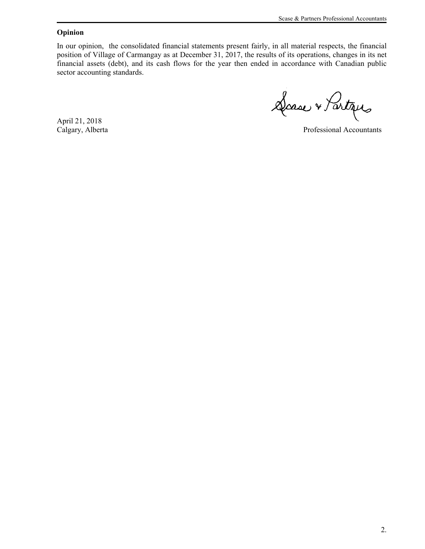#### **Opinion**

In our opinion, the consolidated financial statements present fairly, in all material respects, the financial position of Village of Carmangay as at December 31, 2017, the results of its operations, changes in its net financial assets (debt), and its cash flows for the year then ended in accordance with Canadian public sector accounting standards.

Dasse & Partiques

April 21, 2018

Calgary, Alberta Professional Accountants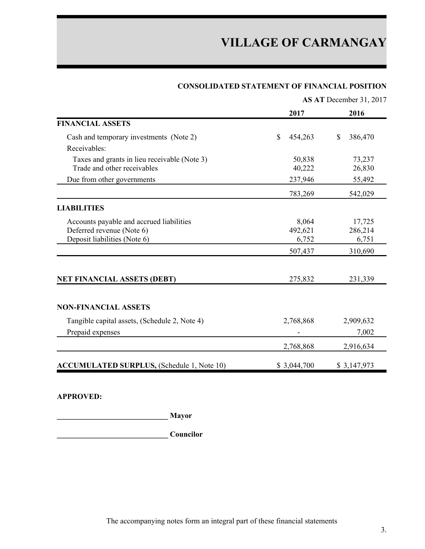| <b>CONSOLIDATED STATEMENT OF FINANCIAL POSITION</b> |  |  |  |
|-----------------------------------------------------|--|--|--|
|-----------------------------------------------------|--|--|--|

|                                                   |                         | AS AT December 31, 2017              |
|---------------------------------------------------|-------------------------|--------------------------------------|
|                                                   | 2017                    | 2016                                 |
| <b>FINANCIAL ASSETS</b>                           |                         |                                      |
| Cash and temporary investments (Note 2)           | $\mathbb{S}$<br>454,263 | $\boldsymbol{\mathsf{S}}$<br>386,470 |
| Receivables:                                      |                         |                                      |
| Taxes and grants in lieu receivable (Note 3)      | 50,838                  | 73,237                               |
| Trade and other receivables                       | 40,222                  | 26,830                               |
| Due from other governments                        | 237,946                 | 55,492                               |
|                                                   | 783,269                 | 542,029                              |
| <b>LIABILITIES</b>                                |                         |                                      |
| Accounts payable and accrued liabilities          | 8,064                   | 17,725                               |
| Deferred revenue (Note 6)                         | 492,621                 | 286,214                              |
| Deposit liabilities (Note 6)                      | 6,752                   | 6,751                                |
|                                                   | 507,437                 | 310,690                              |
|                                                   |                         |                                      |
| <b>NET FINANCIAL ASSETS (DEBT)</b>                | 275,832                 | 231,339                              |
|                                                   |                         |                                      |
| <b>NON-FINANCIAL ASSETS</b>                       |                         |                                      |
| Tangible capital assets, (Schedule 2, Note 4)     | 2,768,868               | 2,909,632                            |
| Prepaid expenses                                  |                         | 7,002                                |
|                                                   | 2,768,868               | 2,916,634                            |
| <b>ACCUMULATED SURPLUS, (Schedule 1, Note 10)</b> | \$3,044,700             | \$3,147,973                          |

### **APPROVED:**

**\_\_\_\_\_\_\_\_\_\_\_\_\_\_\_\_\_\_\_\_\_\_\_\_\_\_\_\_\_ Mayor**

**\_\_\_\_\_\_\_\_\_\_\_\_\_\_\_\_\_\_\_\_\_\_\_\_\_\_\_\_\_ Councilor**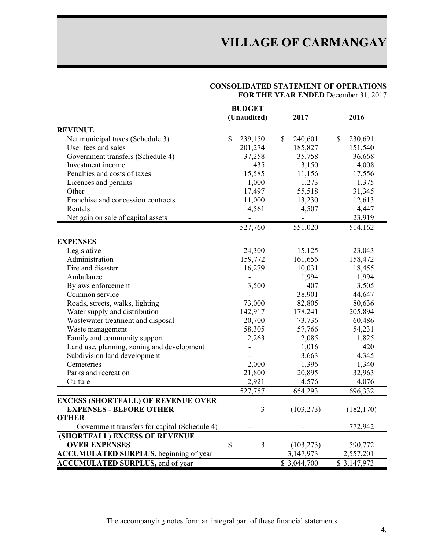#### **CONSOLIDATED STATEMENT OF OPERATIONS FOR THE YEAR ENDED** December 31, 2017

|                                                | <b>BUDGET</b>                   |                         |                                      |
|------------------------------------------------|---------------------------------|-------------------------|--------------------------------------|
|                                                | (Unaudited)                     | 2017                    | 2016                                 |
| <b>REVENUE</b>                                 |                                 |                         |                                      |
| Net municipal taxes (Schedule 3)               | $\mathbb{S}$<br>239,150         | $\mathbb{S}$<br>240,601 | $\boldsymbol{\mathsf{S}}$<br>230,691 |
| User fees and sales                            | 201,274                         | 185,827                 | 151,540                              |
| Government transfers (Schedule 4)              | 37,258                          | 35,758                  | 36,668                               |
| Investment income                              | 435                             | 3,150                   | 4,008                                |
| Penalties and costs of taxes                   | 15,585                          | 11,156                  | 17,556                               |
| Licences and permits                           | 1,000                           | 1,273                   | 1,375                                |
| Other                                          | 17,497                          | 55,518                  | 31,345                               |
| Franchise and concession contracts             | 11,000                          | 13,230                  | 12,613                               |
| Rentals                                        | 4,561                           | 4,507                   | 4,447                                |
| Net gain on sale of capital assets             | $\frac{1}{2}$                   | $\blacksquare$          | 23,919                               |
|                                                | 527,760                         | 551,020                 | 514,162                              |
| <b>EXPENSES</b>                                |                                 |                         |                                      |
| Legislative                                    | 24,300                          | 15,125                  | 23,043                               |
| Administration                                 | 159,772                         | 161,656                 | 158,472                              |
| Fire and disaster                              | 16,279                          | 10,031                  | 18,455                               |
| Ambulance                                      | $\blacksquare$                  | 1,994                   | 1,994                                |
| Bylaws enforcement                             | 3,500                           | 407                     | 3,505                                |
| Common service                                 |                                 | 38,901                  | 44,647                               |
| Roads, streets, walks, lighting                | 73,000                          | 82,805                  | 80,636                               |
| Water supply and distribution                  | 142,917                         | 178,241                 | 205,894                              |
| Wastewater treatment and disposal              | 20,700                          | 73,736                  | 60,486                               |
| Waste management                               | 58,305                          | 57,766                  | 54,231                               |
| Family and community support                   | 2,263                           | 2,085                   | 1,825                                |
| Land use, planning, zoning and development     | $\overline{a}$                  | 1,016                   | 420                                  |
| Subdivision land development                   |                                 | 3,663                   | 4,345                                |
| Cemeteries                                     | 2,000                           | 1,396                   | 1,340                                |
| Parks and recreation                           | 21,800                          | 20,895                  | 32,963                               |
| Culture                                        | 2,921                           | 4,576                   | 4,076                                |
|                                                | 527,757                         | 654,293                 | 696,332                              |
| <b>EXCESS (SHORTFALL) OF REVENUE OVER</b>      |                                 |                         |                                      |
| <b>EXPENSES - BEFORE OTHER</b>                 | 3                               | (103, 273)              | (182, 170)                           |
| <b>OTHER</b>                                   |                                 |                         |                                      |
| Government transfers for capital (Schedule 4)  |                                 |                         | 772,942                              |
| (SHORTFALL) EXCESS OF REVENUE                  |                                 |                         |                                      |
| <b>OVER EXPENSES</b>                           | $\frac{1}{2}$<br>$\overline{3}$ | (103, 273)              | 590,772                              |
| <b>ACCUMULATED SURPLUS</b> , beginning of year |                                 | 3,147,973               | 2,557,201                            |
| <b>ACCUMULATED SURPLUS, end of year</b>        |                                 | \$3,044,700             | \$3,147,973                          |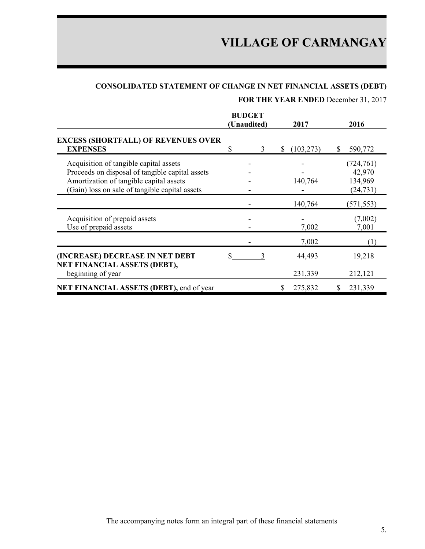## **CONSOLIDATED STATEMENT OF CHANGE IN NET FINANCIAL ASSETS (DEBT)**

## **FOR THE YEAR ENDED** December 31, 2017

|                                                                                                                                                                                        | <b>BUDGET</b><br>(Unaudited) | 2017            | 2016                                         |
|----------------------------------------------------------------------------------------------------------------------------------------------------------------------------------------|------------------------------|-----------------|----------------------------------------------|
| <b>EXCESS (SHORTFALL) OF REVENUES OVER</b><br><b>EXPENSES</b>                                                                                                                          | 3                            | (103, 273)<br>S | \$.<br>590,772                               |
| Acquisition of tangible capital assets<br>Proceeds on disposal of tangible capital assets<br>Amortization of tangible capital assets<br>(Gain) loss on sale of tangible capital assets |                              | 140,764         | (724, 761)<br>42,970<br>134,969<br>(24, 731) |
|                                                                                                                                                                                        |                              | 140,764         | (571, 553)                                   |
| Acquisition of prepaid assets<br>Use of prepaid assets                                                                                                                                 |                              | 7,002           | (7,002)<br>7,001                             |
|                                                                                                                                                                                        |                              | 7,002           | (1)                                          |
| (INCREASE) DECREASE IN NET DEBT<br>NET FINANCIAL ASSETS (DEBT),                                                                                                                        |                              | 44,493          | 19,218                                       |
| beginning of year                                                                                                                                                                      |                              | 231,339         | 212,121                                      |
| NET FINANCIAL ASSETS (DEBT), end of year                                                                                                                                               |                              | 275,832         | 231,339                                      |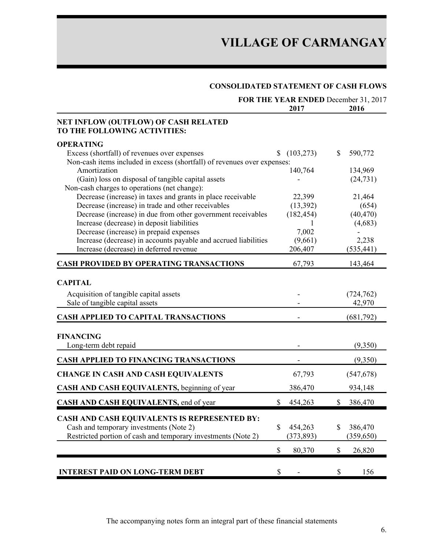### **CONSOLIDATED STATEMENT OF CASH FLOWS**

|                                                                                             | 2017             | FOR THE YEAR ENDED December 31, 2017<br>2016 |
|---------------------------------------------------------------------------------------------|------------------|----------------------------------------------|
| NET INFLOW (OUTFLOW) OF CASH RELATED<br>TO THE FOLLOWING ACTIVITIES:                        |                  |                                              |
| <b>OPERATING</b>                                                                            |                  |                                              |
| Excess (shortfall) of revenues over expenses                                                | (103, 273)<br>S. | \$<br>590,772                                |
| Non-cash items included in excess (shortfall) of revenues over expenses:                    |                  |                                              |
| Amortization<br>(Gain) loss on disposal of tangible capital assets                          | 140,764          | 134,969                                      |
| Non-cash charges to operations (net change):                                                |                  | (24, 731)                                    |
| Decrease (increase) in taxes and grants in place receivable                                 | 22,399           | 21,464                                       |
| Decrease (increase) in trade and other receivables                                          | (13, 392)        | (654)                                        |
| Decrease (increase) in due from other government receivables                                | (182, 454)       | (40, 470)                                    |
| Increase (decrease) in deposit liabilities                                                  |                  | (4,683)                                      |
| Decrease (increase) in prepaid expenses                                                     | 7,002            |                                              |
| Increase (decrease) in accounts payable and accrued liabilities                             | (9,661)          | 2,238                                        |
| Increase (decrease) in deferred revenue                                                     | 206,407          | (535, 441)                                   |
| <b>CASH PROVIDED BY OPERATING TRANSACTIONS</b>                                              | 67,793           | 143,464                                      |
| <b>CAPITAL</b><br>Acquisition of tangible capital assets<br>Sale of tangible capital assets |                  | (724, 762)<br>42,970                         |
| <b>CASH APPLIED TO CAPITAL TRANSACTIONS</b>                                                 |                  | (681,792)                                    |
| <b>FINANCING</b><br>Long-term debt repaid                                                   |                  | (9,350)                                      |
| <b>CASH APPLIED TO FINANCING TRANSACTIONS</b>                                               |                  | (9,350)                                      |
| <b>CHANGE IN CASH AND CASH EQUIVALENTS</b>                                                  | 67,793           | (547, 678)                                   |
| CASH AND CASH EQUIVALENTS, beginning of year                                                | 386,470          | 934,148                                      |
| CASH AND CASH EQUIVALENTS, end of year                                                      | \$<br>454,263    | 386,470<br>\$                                |
| <b>CASH AND CASH EQUIVALENTS IS REPRESENTED BY:</b>                                         |                  |                                              |
| Cash and temporary investments (Note 2)                                                     | \$<br>454,263    | \$<br>386,470                                |
| Restricted portion of cash and temporary investments (Note 2)                               | (373, 893)       | (359, 650)                                   |
|                                                                                             | \$<br>80,370     | $\$$<br>26,820                               |
| <b>INTEREST PAID ON LONG-TERM DEBT</b>                                                      | \$               | \$<br>156                                    |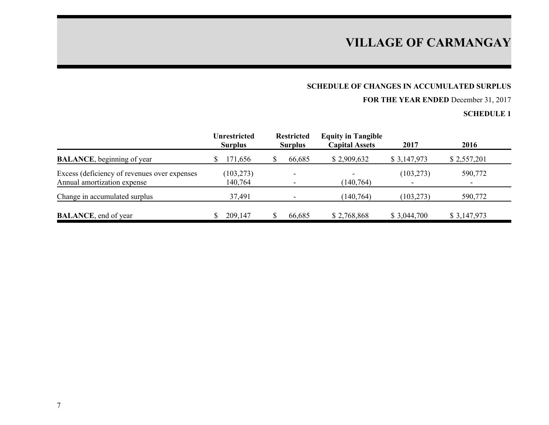## **SCHEDULE OF CHANGES IN ACCUMULATED SURPLUS**

## **FOR THE YEAR ENDED** December 31, 2017

|                                                                             | <b>Unrestricted</b><br><b>Surplus</b> | <b>Restricted</b><br><b>Surplus</b> | <b>Equity in Tangible</b><br><b>Capital Assets</b> | 2017        | 2016                                |
|-----------------------------------------------------------------------------|---------------------------------------|-------------------------------------|----------------------------------------------------|-------------|-------------------------------------|
| <b>BALANCE</b> , beginning of year                                          | 171,656<br>S.                         | 66,685                              | \$2,909,632                                        | \$3,147,973 | \$2,557,201                         |
| Excess (deficiency of revenues over expenses<br>Annual amortization expense | (103, 273)<br>140,764                 |                                     | (140, 764)                                         | (103, 273)  | 590,772<br>$\overline{\phantom{0}}$ |
| Change in accumulated surplus                                               | 37,491                                |                                     | (140, 764)                                         | (103, 273)  | 590,772                             |
| <b>BALANCE</b> , end of year                                                | 209,147                               | 66,685                              | \$2,768,868                                        | \$3,044,700 | \$3,147,973                         |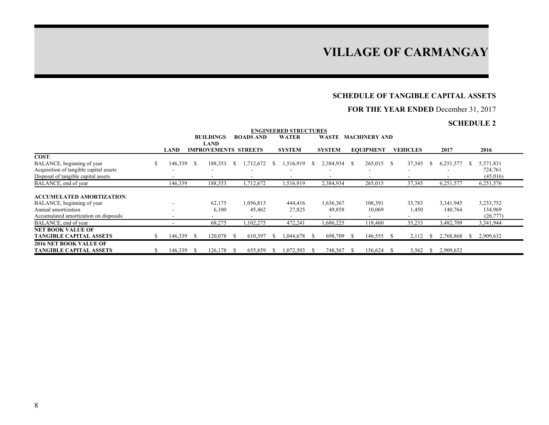### **SCHEDULE OF TANGIBLE CAPITAL ASSETS**

### **FOR THE YEAR ENDED** December 31, 2017

|                                                                      |    |         |     |                                            |     |                  |    | <b>ENGINEERED STRUCTURES</b> |      |               |     |                      |     |                 |           |     |                      |
|----------------------------------------------------------------------|----|---------|-----|--------------------------------------------|-----|------------------|----|------------------------------|------|---------------|-----|----------------------|-----|-----------------|-----------|-----|----------------------|
|                                                                      |    |         |     | <b>BUILDINGS</b>                           |     | <b>ROADS AND</b> |    | <b>WATER</b>                 |      | <b>WASTE</b>  |     | <b>MACHINERY AND</b> |     |                 |           |     |                      |
|                                                                      |    | LAND    |     | <b>LAND</b><br><b>IMPROVEMENTS STREETS</b> |     |                  |    | <b>SYSTEM</b>                |      | <b>SYSTEM</b> |     | <b>EQUIPMENT</b>     |     | <b>VEHICLES</b> | 2017      |     | 2016                 |
| COST:                                                                |    |         |     |                                            |     |                  |    |                              |      |               |     |                      |     |                 |           |     |                      |
| BALANCE, beginning of year<br>Acquisition of tangible capital assets | \$ | 146,339 | - S | 188,353                                    |     | 1,712,672        | -S | 1,516,919                    | -S   | 2,384,934     | - S | 265,015              | -S  | 37,345          | 6,251,577 |     | 5,571,831<br>724,761 |
| Disposal of tangible capital assets                                  |    |         |     |                                            |     |                  |    |                              |      |               |     |                      |     |                 |           |     | (45,016)             |
| BALANCE, end of year                                                 |    | 146,339 |     | 188,353                                    |     | 1,712,672        |    | 1,516,919                    |      | 2,384,934     |     | 265,015              |     | 37,345          | 6,251,577 |     | 6,251,576            |
| <b>ACCUMULATED AMORTIZATION:</b>                                     |    |         |     |                                            |     |                  |    |                              |      |               |     |                      |     |                 |           |     |                      |
| BALANCE, beginning of year                                           |    |         |     | 62,175                                     |     | 1,056,813        |    | 444,416                      |      | 1,636,367     |     | 108,391              |     | 33,783          | 3,341,945 |     | 3,233,752            |
| Annual amortization                                                  |    |         |     | 6,100                                      |     | 45,462           |    | 27,825                       |      | 49,858        |     | 10,069               |     | 1,450           | 140,764   |     | 134,969              |
| Accumulated amortization on disposals                                |    |         |     |                                            |     |                  |    |                              |      |               |     |                      |     |                 |           |     | (26, 777)            |
| BALANCE, end of year                                                 |    |         |     | 68,275                                     |     | 102,275          |    | 472,241                      |      | 1,686,225     |     | 118,460              |     | 35,233          | 3,482,709 |     | 3,341,944            |
| <b>NET BOOK VALUE OF</b>                                             |    |         |     |                                            |     |                  |    |                              |      |               |     |                      |     |                 |           |     |                      |
| <b>TANGIBLE CAPITAL ASSETS</b>                                       | S  | 146,339 | - S | 120,078                                    |     | 610,397          | -S | 1,044,678                    | - \$ | 698,709       | -S  | 146,555              |     | 2,112           | 2,768,868 | ЭÝ. | 2,909,632            |
| <b>2016 NET BOOK VALUE OF</b>                                        |    |         |     |                                            |     |                  |    |                              |      |               |     |                      |     |                 |           |     |                      |
| <b>TANGIBLE CAPITAL ASSETS</b>                                       |    | 146,339 | - 8 | 126.178                                    | - 8 | 655,859          | -8 | 1,072,503                    | -8   | 748,567       | - S | 156.624              | - S | 3,562           | 2,909,632 |     |                      |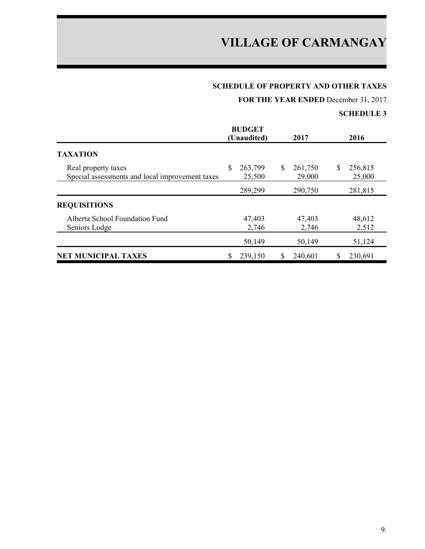## **SCHEDULE OF PROPERTY AND OTHER TAXES**

**FOR THE YEAR ENDED** December 31, 2017

|                                                                        | <b>BUDGET</b>           |                          |                         |
|------------------------------------------------------------------------|-------------------------|--------------------------|-------------------------|
|                                                                        | (Unaudited)             | 2017                     | 2016                    |
| <b>TAXATION</b>                                                        |                         |                          |                         |
| Real property taxes<br>Special assessments and local improvement taxes | \$<br>263,799<br>25,500 | 261,750<br>\$.<br>29,000 | 256,815<br>\$<br>25,000 |
|                                                                        | 289,299                 | 290,750                  | 281,815                 |
| <b>REQUISITIONS</b>                                                    |                         |                          |                         |
| Alberta School Foundation Fund<br>Seniors Lodge                        | 47,403<br>2,746         | 47,403<br>2,746          | 48,612<br>2,512         |
|                                                                        | 50,149                  | 50,149                   | 51,124                  |
| <b>NET MUNICIPAL TAXES</b>                                             | 239,150                 | 240,601                  | 230,691                 |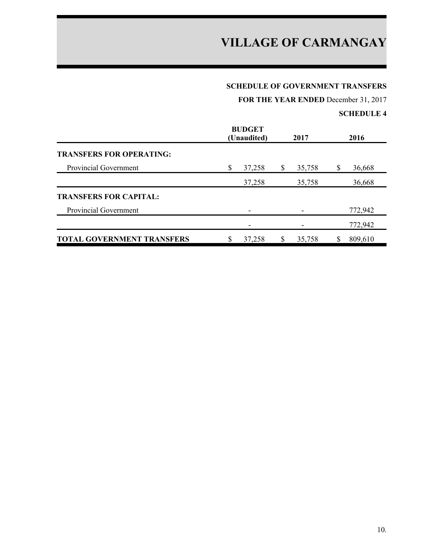#### **SCHEDULE OF GOVERNMENT TRANSFERS**

**FOR THE YEAR ENDED** December 31, 2017

|                                   | <b>BUDGET</b><br>(Unaudited) | 2017   |   | 2016    |
|-----------------------------------|------------------------------|--------|---|---------|
| <b>TRANSFERS FOR OPERATING:</b>   |                              |        |   |         |
| Provincial Government             | \$<br>37,258                 | 35,758 | S | 36,668  |
|                                   | 37,258                       | 35,758 |   | 36,668  |
| <b>TRANSFERS FOR CAPITAL:</b>     |                              |        |   |         |
| <b>Provincial Government</b>      |                              |        |   | 772,942 |
|                                   |                              |        |   | 772,942 |
| <b>TOTAL GOVERNMENT TRANSFERS</b> | 37,258                       | 35,758 |   | 809,610 |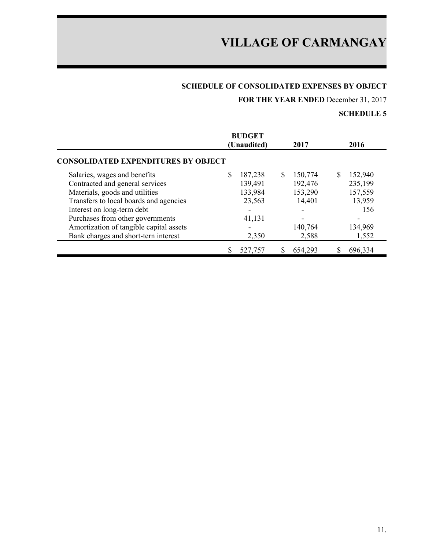## **SCHEDULE OF CONSOLIDATED EXPENSES BY OBJECT**

**FOR THE YEAR ENDED** December 31, 2017

|                                            | <b>BUDGET</b><br>(Unaudited) | 2017         | 2016         |
|--------------------------------------------|------------------------------|--------------|--------------|
| <b>CONSOLIDATED EXPENDITURES BY OBJECT</b> |                              |              |              |
| Salaries, wages and benefits               | 187,238                      | S<br>150,774 | S<br>152,940 |
| Contracted and general services            | 139,491                      | 192,476      | 235,199      |
| Materials, goods and utilities             | 133,984                      | 153,290      | 157,559      |
| Transfers to local boards and agencies     | 23,563                       | 14,401       | 13,959       |
| Interest on long-term debt                 |                              |              | 156          |
| Purchases from other governments           | 41,131                       |              |              |
| Amortization of tangible capital assets    |                              | 140,764      | 134,969      |
| Bank charges and short-tern interest       | 2,350                        | 2,588        | 1,552        |
|                                            | 527,757                      | 654,293      | 696,334      |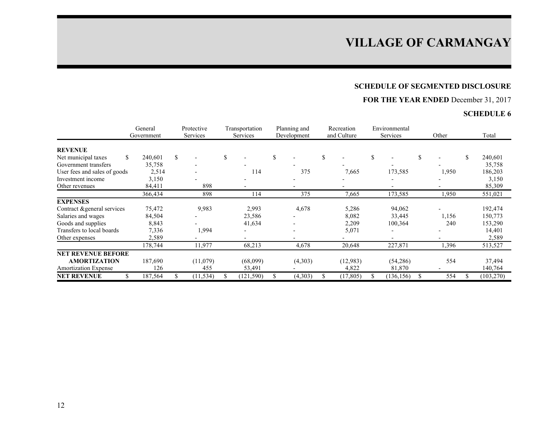## **SCHEDULE OF SEGMENTED DISCLOSURE**

## **FOR THE YEAR ENDED** December 31, 2017

|                              | General<br>Government | Protective<br>Services |           | Transportation<br>Services | Planning and<br>Development | Recreation<br>and Culture | Environmental<br>Services | Other | Total         |
|------------------------------|-----------------------|------------------------|-----------|----------------------------|-----------------------------|---------------------------|---------------------------|-------|---------------|
| <b>REVENUE</b>               |                       |                        |           |                            |                             |                           |                           |       |               |
| Net municipal taxes          | \$<br>240,601         | \$                     |           | \$                         | \$                          | \$                        | \$                        | \$    | \$<br>240,601 |
| Government transfers         | 35,758                |                        |           |                            |                             |                           |                           |       | 35,758        |
| User fees and sales of goods | 2,514                 |                        |           | 114                        | 375                         | 7,665                     | 173,585                   | 1,950 | 186,203       |
| Investment income            | 3,150                 |                        |           |                            |                             |                           |                           |       | 3,150         |
| Other revenues               | 84,411                |                        | 898       |                            |                             |                           |                           |       | 85,309        |
|                              | 366,434               |                        | 898       | 114                        | 375                         | 7,665                     | 173,585                   | 1,950 | 551,021       |
| <b>EXPENSES</b>              |                       |                        |           |                            |                             |                           |                           |       |               |
| Contract & general services  | 75,472                |                        | 9,983     | 2,993                      | 4,678                       | 5,286                     | 94,062                    |       | 192,474       |
| Salaries and wages           | 84,504                |                        |           | 23,586                     |                             | 8,082                     | 33,445                    | 1,156 | 150,773       |
| Goods and supplies           | 8,843                 |                        |           | 41,634                     |                             | 2,209                     | 100,364                   | 240   | 153,290       |
| Transfers to local boards    | 7,336                 |                        | 1,994     |                            |                             | 5,071                     |                           |       | 14,401        |
| Other expenses               | 2,589                 |                        |           |                            |                             |                           |                           |       | 2,589         |
|                              | 178,744               |                        | 11,977    | 68,213                     | 4,678                       | 20,648                    | 227,871                   | 1,396 | 513,527       |
| <b>NET REVENUE BEFORE</b>    |                       |                        |           |                            |                             |                           |                           |       |               |
| <b>AMORTIZATION</b>          | 187,690               |                        | (11,079)  | (68,099)                   | (4,303)                     | (12,983)                  | (54, 286)                 | 554   | 37,494        |
| <b>Amortization Expense</b>  | 126                   |                        | 455       | 53,491                     |                             | 4,822                     | 81,870                    |       | 140,764       |
| <b>NET REVENUE</b>           | 187,564               |                        | (11, 534) | (121, 590)                 | (4,303)                     | \$<br>(17, 805)           | (136, 156)                | 554   | (103, 270)    |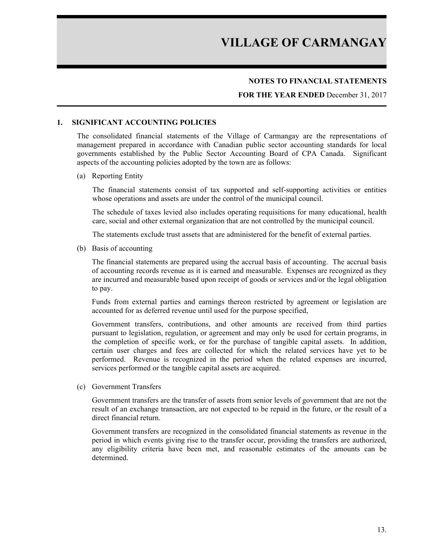#### **NOTES TO FINANCIAL STATEMENTS**

#### **FOR THE YEAR ENDED** December 31, 2017

#### **1. SIGNIFICANT ACCOUNTING POLICIES**

The consolidated financial statements of the Village of Carmangay are the representations of management prepared in accordance with Canadian public sector accounting standards for local governments established by the Public Sector Accounting Board of CPA Canada. Significant aspects of the accounting policies adopted by the town are as follows:

#### (a) Reporting Entity

The financial statements consist of tax supported and self-supporting activities or entities whose operations and assets are under the control of the municipal council.

The schedule of taxes levied also includes operating requisitions for many educational, health care, social and other external organization that are not controlled by the municipal council.

The statements exclude trust assets that are administered for the benefit of external parties.

(b) Basis of accounting

The financial statements are prepared using the accrual basis of accounting. The accrual basis of accounting records revenue as it is earned and measurable. Expenses are recognized as they are incurred and measurable based upon receipt of goods or services and/or the legal obligation to pay.

Funds from external parties and earnings thereon restricted by agreement or legislation are accounted for as deferred revenue until used for the purpose specified,

Government transfers, contributions, and other amounts are received from third parties pursuant to legislation, regulation, or agreement and may only be used for certain programs, in the completion of specific work, or for the purchase of tangible capital assets. In addition, certain user charges and fees are collected for which the related services have yet to be performed. Revenue is recognized in the period when the related expenses are incurred, services performed or the tangible capital assets are acquired.

(c) Government Transfers

Government transfers are the transfer of assets from senior levels of government that are not the result of an exchange transaction, are not expected to be repaid in the future, or the result of a direct financial return.

Government transfers are recognized in the consolidated financial statements as revenue in the period in which events giving rise to the transfer occur, providing the transfers are authorized, any eligibility criteria have been met, and reasonable estimates of the amounts can be determined.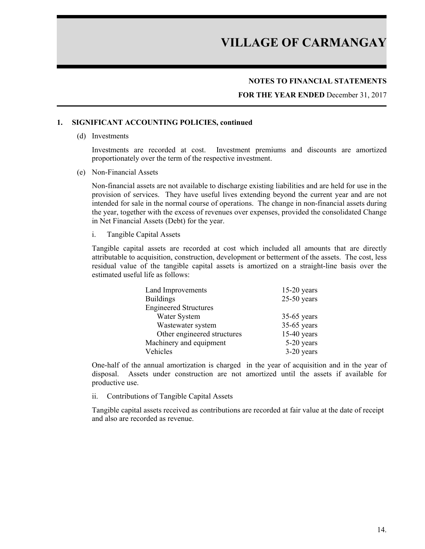#### **NOTES TO FINANCIAL STATEMENTS**

**FOR THE YEAR ENDED** December 31, 2017

#### **1. SIGNIFICANT ACCOUNTING POLICIES, continued**

(d) Investments

Investments are recorded at cost. Investment premiums and discounts are amortized proportionately over the term of the respective investment.

(e) Non-Financial Assets

Non-financial assets are not available to discharge existing liabilities and are held for use in the provision of services. They have useful lives extending beyond the current year and are not intended for sale in the normal course of operations. The change in non-financial assets during the year, together with the excess of revenues over expenses, provided the consolidated Change in Net Financial Assets (Debt) for the year.

i. Tangible Capital Assets

Tangible capital assets are recorded at cost which included all amounts that are directly attributable to acquisition, construction, development or betterment of the assets. The cost, less residual value of the tangible capital assets is amortized on a straight-line basis over the estimated useful life as follows:

| Land Improvements            | $15-20$ years |
|------------------------------|---------------|
| <b>Buildings</b>             | $25-50$ years |
| <b>Engineered Structures</b> |               |
| Water System                 | $35-65$ years |
| Wastewater system            | $35-65$ years |
| Other engineered structures  | $15-40$ years |
| Machinery and equipment      | 5-20 years    |
| Vehicles                     | $3-20$ years  |

One-half of the annual amortization is charged in the year of acquisition and in the year of disposal. Assets under construction are not amortized until the assets if available for productive use.

ii. Contributions of Tangible Capital Assets

Tangible capital assets received as contributions are recorded at fair value at the date of receipt and also are recorded as revenue.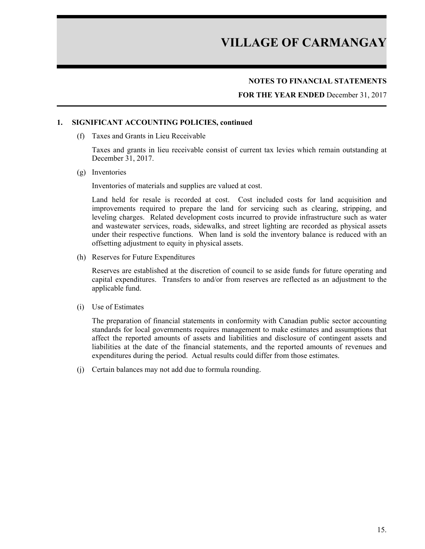#### **NOTES TO FINANCIAL STATEMENTS**

**FOR THE YEAR ENDED** December 31, 2017

#### **1. SIGNIFICANT ACCOUNTING POLICIES, continued**

(f) Taxes and Grants in Lieu Receivable

Taxes and grants in lieu receivable consist of current tax levies which remain outstanding at December 31, 2017.

(g) Inventories

Inventories of materials and supplies are valued at cost.

Land held for resale is recorded at cost. Cost included costs for land acquisition and improvements required to prepare the land for servicing such as clearing, stripping, and leveling charges. Related development costs incurred to provide infrastructure such as water and wastewater services, roads, sidewalks, and street lighting are recorded as physical assets under their respective functions. When land is sold the inventory balance is reduced with an offsetting adjustment to equity in physical assets.

(h) Reserves for Future Expenditures

Reserves are established at the discretion of council to se aside funds for future operating and capital expenditures. Transfers to and/or from reserves are reflected as an adjustment to the applicable fund.

(i) Use of Estimates

The preparation of financial statements in conformity with Canadian public sector accounting standards for local governments requires management to make estimates and assumptions that affect the reported amounts of assets and liabilities and disclosure of contingent assets and liabilities at the date of the financial statements, and the reported amounts of revenues and expenditures during the period. Actual results could differ from those estimates.

(j) Certain balances may not add due to formula rounding.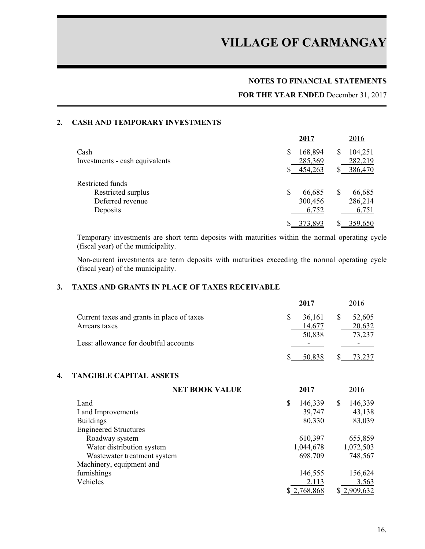#### **NOTES TO FINANCIAL STATEMENTS**

#### **FOR THE YEAR ENDED** December 31, 2017

#### **2. CASH AND TEMPORARY INVESTMENTS**

|                                | 2017          | 2016          |
|--------------------------------|---------------|---------------|
| Cash                           | 168,894<br>\$ | 104,251       |
| Investments - cash equivalents | 285,369       | 282,219       |
|                                | 454,263       | 386,470       |
| Restricted funds               |               |               |
| Restricted surplus             | S<br>66,685   | 66,685<br>\$. |
| Deferred revenue               | 300,456       | 286,214       |
| Deposits                       | 6,752         | 6,751         |
|                                | 373,893       | 359,650       |

Temporary investments are short term deposits with maturities within the normal operating cycle (fiscal year) of the municipality.

Non-current investments are term deposits with maturities exceeding the normal operating cycle (fiscal year) of the municipality.

### **3. TAXES AND GRANTS IN PLACE OF TAXES RECEIVABLE**

|                                            | 2017                     | 2016             |
|--------------------------------------------|--------------------------|------------------|
| Current taxes and grants in place of taxes |                          | 52,605<br>36,161 |
| Arrears taxes                              |                          | 20,632<br>14.677 |
|                                            |                          | 73,237<br>50,838 |
| Less: allowance for doubtful accounts      | $\overline{\phantom{0}}$ |                  |
|                                            |                          | 50.838           |

#### **4. TANGIBLE CAPITAL ASSETS**

| <b>NET BOOK VALUE</b>        | 2017          | 2016          |
|------------------------------|---------------|---------------|
| Land                         | \$<br>146,339 | 146,339<br>\$ |
| Land Improvements            | 39,747        | 43,138        |
| <b>Buildings</b>             | 80,330        | 83,039        |
| <b>Engineered Structures</b> |               |               |
| Roadway system               | 610,397       | 655,859       |
| Water distribution system    | 1,044,678     | 1,072,503     |
| Wastewater treatment system  | 698,709       | 748,567       |
| Machinery, equipment and     |               |               |
| furnishings                  | 146,555       | 156,624       |
| Vehicles                     | 2,113         | 3,563         |
|                              | \$2,768,868   | \$2,909,632   |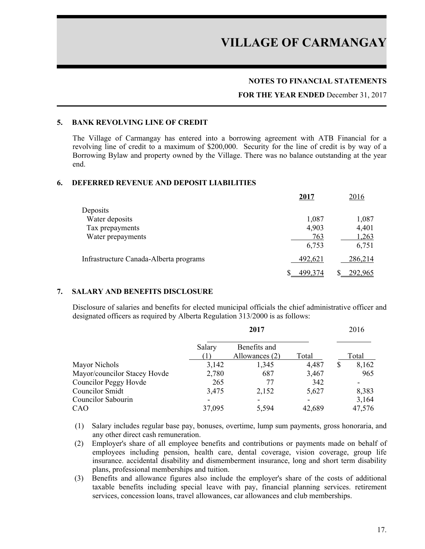#### **NOTES TO FINANCIAL STATEMENTS**

#### **FOR THE YEAR ENDED** December 31, 2017

#### **5. BANK REVOLVING LINE OF CREDIT**

The Village of Carmangay has entered into a borrowing agreement with ATB Financial for a revolving line of credit to a maximum of \$200,000. Security for the line of credit is by way of a Borrowing Bylaw and property owned by the Village. There was no balance outstanding at the year end.

#### **6. DEFERRED REVENUE AND DEPOSIT LIABILITIES**

|                                        | 2017    | 2016    |
|----------------------------------------|---------|---------|
| Deposits                               |         |         |
| Water deposits                         | 1,087   | 1,087   |
| Tax prepayments                        | 4,903   | 4,401   |
| Water prepayments                      | 763     | 1,263   |
|                                        | 6,753   | 6,751   |
| Infrastructure Canada-Alberta programs | 492,621 | 286,214 |
|                                        | 499.374 | 292,965 |

#### **7. SALARY AND BENEFITS DISCLOSURE**

Disclosure of salaries and benefits for elected municipal officials the chief administrative officer and designated officers as required by Alberta Regulation 313/2000 is as follows:

|                              | 2017   |                                | 2016   |             |
|------------------------------|--------|--------------------------------|--------|-------------|
|                              | Salary | Benefits and<br>Allowances (2) | Total  | Total       |
| Mayor Nichols                | 3,142  | 1,345                          | 4,487  | \$<br>8,162 |
| Mayor/councilor Stacey Hovde | 2,780  | 687                            | 3,467  | 965         |
| <b>Councilor Peggy Hovde</b> | 265    | 77                             | 342    |             |
| Councilor Smidt              | 3,475  | 2,152                          | 5,627  | 8,383       |
| Councilor Sabourin           | -      | ۰                              | -      | 3,164       |
| CAO                          | 37,095 | 5,594                          | 42,689 | 47,576      |

- (1) Salary includes regular base pay, bonuses, overtime, lump sum payments, gross honoraria, and any other direct cash remuneration.
- (2) Employer's share of all employee benefits and contributions or payments made on behalf of employees including pension, health care, dental coverage, vision coverage, group life insurance. accidental disability and dismemberment insurance, long and short term disability plans, professional memberships and tuition.
- (3) Benefits and allowance figures also include the employer's share of the costs of additional taxable benefits including special leave with pay, financial planning services. retirement services, concession loans, travel allowances, car allowances and club memberships.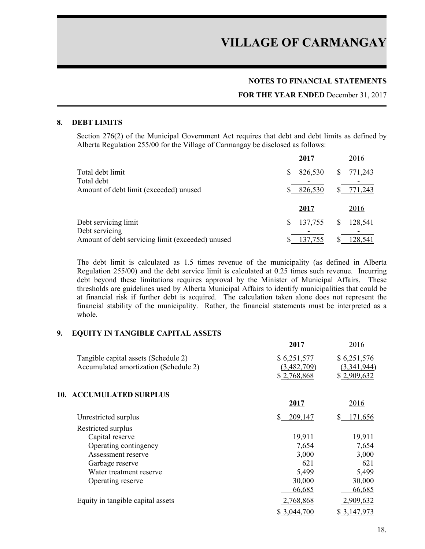#### **NOTES TO FINANCIAL STATEMENTS**

#### **FOR THE YEAR ENDED** December 31, 2017

#### **8. DEBT LIMITS**

Section 276(2) of the Municipal Government Act requires that debt and debt limits as defined by Alberta Regulation 255/00 for the Village of Carmangay be disclosed as follows:

|                                                  | 2017         | 2016         |
|--------------------------------------------------|--------------|--------------|
| Total debt limit                                 | 826,530<br>S | 771,243<br>S |
| Total debt                                       |              |              |
| Amount of debt limit (exceeded) unused           | 826,530      | 771,243      |
|                                                  | 2017         | <u>2016</u>  |
| Debt servicing limit                             | 137,755<br>S | 128,541      |
| Debt servicing                                   |              |              |
| Amount of debt servicing limit (exceeded) unused | 137,755      | 128,541      |

The debt limit is calculated as 1.5 times revenue of the municipality (as defined in Alberta Regulation 255/00) and the debt service limit is calculated at 0.25 times such revenue. Incurring debt beyond these limitations requires approval by the Minister of Municipal Affairs. These thresholds are guidelines used by Alberta Municipal Affairs to identify municipalities that could be at financial risk if further debt is acquired. The calculation taken alone does not represent the financial stability of the municipality. Rather, the financial statements must be interpreted as a whole.

#### **9. EQUITY IN TANGIBLE CAPITAL ASSETS**

|                                       | 2017          | 2016          |
|---------------------------------------|---------------|---------------|
| Tangible capital assets (Schedule 2)  | \$6,251,577   | \$6,251,576   |
| Accumulated amortization (Schedule 2) | (3,482,709)   | (3,341,944)   |
|                                       | \$2,768,868   | \$2,909,632   |
| <b>ACCUMULATED SURPLUS</b><br>10.     |               |               |
|                                       | 2017          | 2016          |
| Unrestricted surplus                  | S.<br>209,147 | S.<br>171,656 |
| Restricted surplus                    |               |               |
| Capital reserve                       | 19,911        | 19,911        |
| Operating contingency                 | 7,654         | 7,654         |
| Assessment reserve                    | 3,000         | 3,000         |
| Garbage reserve                       | 621           | 621           |
| Water treatment reserve               | 5,499         | 5,499         |
| Operating reserve                     | 30,000        | 30,000        |
|                                       | 66,685        | 66,685        |
| Equity in tangible capital assets     | 2,768,868     | 2,909,632     |
|                                       | \$3,044,700   | \$3,147,973   |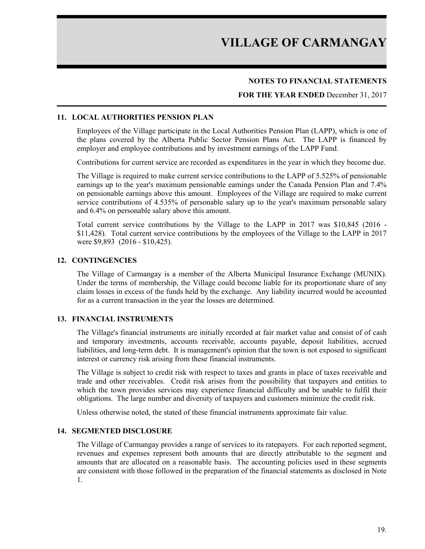#### **NOTES TO FINANCIAL STATEMENTS**

#### **FOR THE YEAR ENDED** December 31, 2017

#### **11. LOCAL AUTHORITIES PENSION PLAN**

Employees of the Village participate in the Local Authorities Pension Plan (LAPP), which is one of the plans covered by the Alberta Public Sector Pension Plans Act. The LAPP is financed by employer and employee contributions and by investment earnings of the LAPP Fund.

Contributions for current service are recorded as expenditures in the year in which they become due.

The Village is required to make current service contributions to the LAPP of 5.525% of pensionable earnings up to the year's maximum pensionable earnings under the Canada Pension Plan and 7.4% on pensionable earnings above this amount. Employees of the Village are required to make current service contributions of 4.535% of personable salary up to the year's maximum personable salary and 6.4% on personable salary above this amount.

Total current service contributions by the Village to the LAPP in 2017 was \$10,845 (2016 - \$11,428). Total current service contributions by the employees of the Village to the LAPP in 2017 were \$9,893 (2016 - \$10,425).

#### **12. CONTINGENCIES**

The Village of Carmangay is a member of the Alberta Municipal Insurance Exchange (MUNIX). Under the terms of membership, the Village could become liable for its proportionate share of any claim losses in excess of the funds held by the exchange. Any liability incurred would be accounted for as a current transaction in the year the losses are determined.

#### **13. FINANCIAL INSTRUMENTS**

The Village's financial instruments are initially recorded at fair market value and consist of of cash and temporary investments, accounts receivable, accounts payable, deposit liabilities, accrued liabilities, and long-term debt. It is management's opinion that the town is not exposed to significant interest or currency risk arising from these financial instruments.

The Village is subject to credit risk with respect to taxes and grants in place of taxes receivable and trade and other receivables. Credit risk arises from the possibility that taxpayers and entities to which the town provides services may experience financial difficulty and be unable to fulfil their obligations. The large number and diversity of taxpayers and customers minimize the credit risk.

Unless otherwise noted, the stated of these financial instruments approximate fair value.

#### **14. SEGMENTED DISCLOSURE**

The Village of Carmangay provides a range of services to its ratepayers. For each reported segment, revenues and expenses represent both amounts that are directly attributable to the segment and amounts that are allocated on a reasonable basis. The accounting policies used in these segments are consistent with those followed in the preparation of the financial statements as disclosed in Note 1.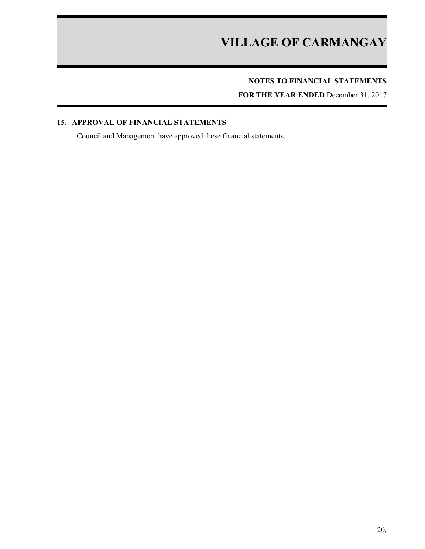## **NOTES TO FINANCIAL STATEMENTS**

**FOR THE YEAR ENDED** December 31, 2017

### **15. APPROVAL OF FINANCIAL STATEMENTS**

Council and Management have approved these financial statements.